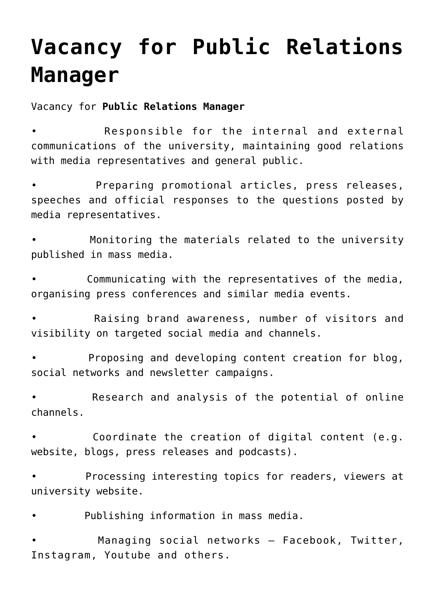## **[Vacancy for Public Relations](https://polito.uz/15203/) [Manager](https://polito.uz/15203/)**

Vacancy for **Public Relations Manager**

Responsible for the internal and external communications of the university, maintaining good relations with media representatives and general public.

• Preparing promotional articles, press releases, speeches and official responses to the questions posted by media representatives.

Monitoring the materials related to the university published in mass media.

Communicating with the representatives of the media, organising press conferences and similar media events.

• Raising brand awareness, number of visitors and visibility on targeted social media and channels.

• Proposing and developing content creation for blog, social networks and newsletter campaigns.

• Research and analysis of the potential of online channels.

Coordinate the creation of digital content (e.g. website, blogs, press releases and podcasts).

Processing interesting topics for readers, viewers at university website.

• Publishing information in mass media.

Managing social networks - Facebook, Twitter, Instagram, Youtube and others.